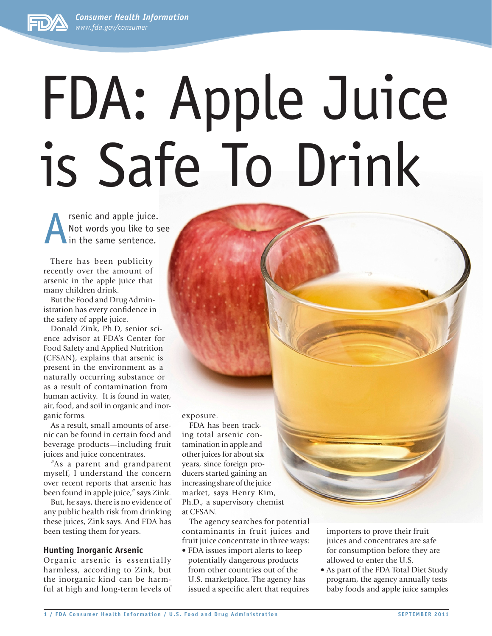*Consumer Health Information www.fda.gov/consumer*



The result and apple juice.<br>Not words you like to s<br>in the same sentence. Not words you like to see in the same sentence.

There has been publicity recently over the amount of arsenic in the apple juice that many children drink.

But the Food and Drug Administration has every confidence in the safety of apple juice.

Donald Zink, Ph.D, senior science advisor at FDA's Center for Food Safety and Applied Nutrition (CFSAN), explains that arsenic is present in the environment as a naturally occurring substance or as a result of contamination from human activity. It is found in water, air, food, and soil in organic and inorganic forms.

As a result, small amounts of arsenic can be found in certain food and beverage products—including fruit juices and juice concentrates.

"As a parent and grandparent myself, I understand the concern over recent reports that arsenic has been found in apple juice," says Zink.

But, he says, there is no evidence of any public health risk from drinking these juices, Zink says. And FDA has been testing them for years.

## **Hunting Inorganic Arsenic**

Organic arsenic is essentially harmless, according to Zink, but the inorganic kind can be harmful at high and long-term levels of exposure.

FDA has been tracking total arsenic contamination in apple and other juices for about six years, since foreign producers started gaining an increasing share of the juice market, says Henry Kim, Ph.D., a supervisory chemist at CFSAN.

The agency searches for potential contaminants in fruit juices and fruit juice concentrate in three ways:

• FDA issues import alerts to keep potentially dangerous products from other countries out of the U.S. marketplace. The agency has issued a specific alert that requires importers to prove their fruit juices and concentrates are safe for consumption before they are allowed to enter the U.S.

• As part of the FDA Total Diet Study program, the agency annually tests baby foods and apple juice samples